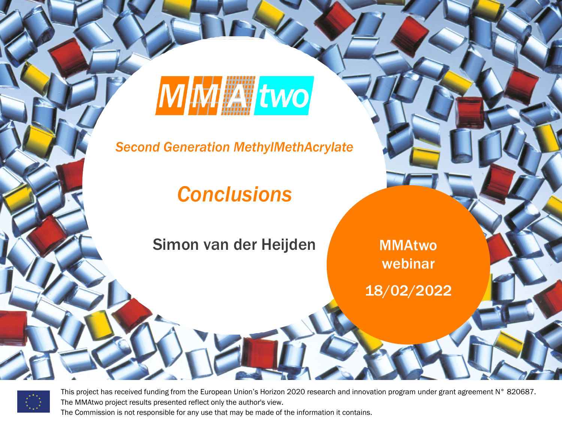

*Second Generation MethylMethAcrylate*

#### *Conclusions*

Simon van der Heijden

MMAtwo webinar

*MMAtwo RESTRICTED - Under Consortium Agreement, Confidential until Oct 1st 2026*

18/02/2022



This project has received funding from the European Union's Horizon 2020 research and innovation program under grant agreement N° 820687.<br>The MMAtwo project results presented reflect only the author's view. The MMAtwo project results presented reflect only the author's view.

The Commission is not responsible for any use that may be made of the information it contains.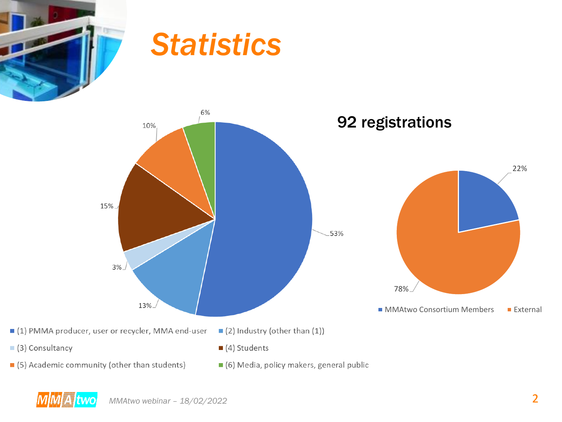

#### *Statistics*



- (5) Academic community (other than students)
- 6) Media, policy makers, general public

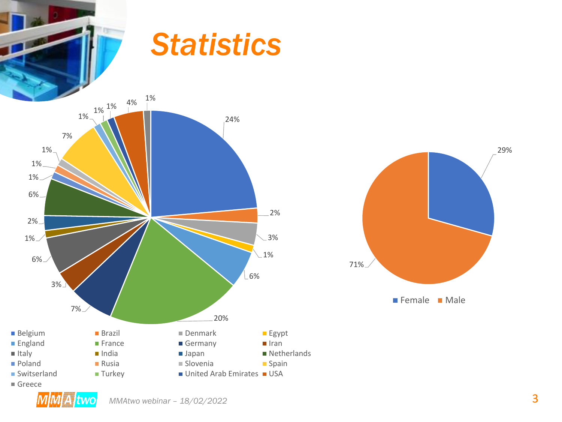

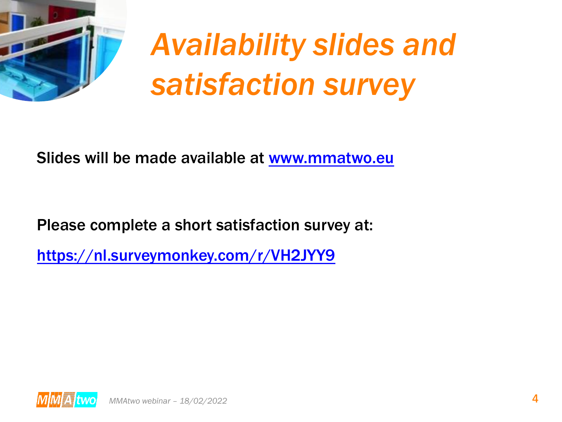

## *Availability slides and satisfaction survey*

Slides will be made available at [www.mmatwo.eu](http://www.mmatwo.eu/)

Please complete a short satisfaction survey at:

<https://nl.surveymonkey.com/r/VH2JYY9>

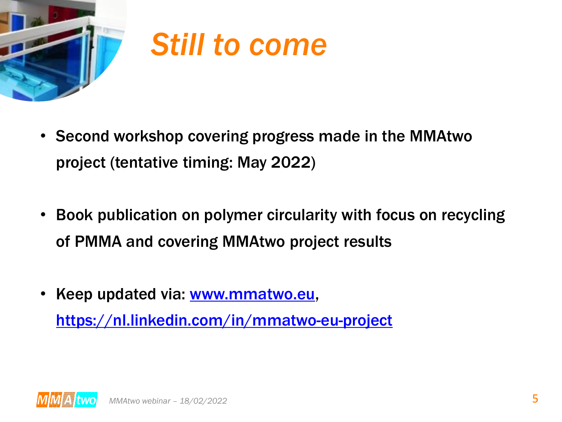

### *Still to come*

- Second workshop covering progress made in the MMAtwo project (tentative timing: May 2022)
- Book publication on polymer circularity with focus on recycling of PMMA and covering MMAtwo project results
- Keep updated via: [www.mmatwo.eu,](http://www.mmatwo.eu/) <https://nl.linkedin.com/in/mmatwo-eu-project>